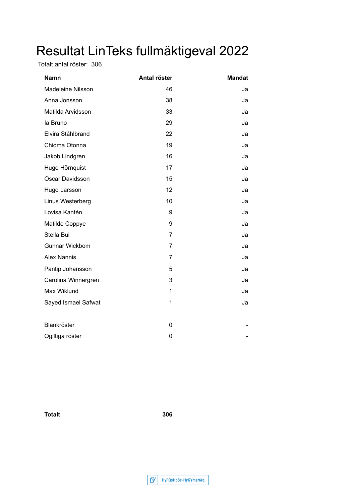## Resultat LinTeks fullmäktigeval 2022

Totalt antal röster: 306

| Namn                  | Antal röster   | <b>Mandat</b> |
|-----------------------|----------------|---------------|
| Madeleine Nilsson     | 46             | Ja            |
| Anna Jonsson          | 38             | Ja            |
| Matilda Arvidsson     | 33             | Ja            |
| la Bruno              | 29             | Ja            |
| Elvira Ståhlbrand     | 22             | Ja            |
| Chioma Otonna         | 19             | Ja            |
| Jakob Lindgren        | 16             | Ja            |
| Hugo Hörnquist        | 17             | Ja            |
| Oscar Davidsson       | 15             | Ja            |
| Hugo Larsson          | 12             | Ja            |
| Linus Westerberg      | 10             | Ja            |
| Lovisa Kantén         | 9              | Ja            |
| Matilde Coppye        | 9              | Ja            |
| Stella Bui            | $\overline{7}$ | Ja            |
| <b>Gunnar Wickbom</b> | $\overline{7}$ | Ja            |
| <b>Alex Nannis</b>    | $\overline{7}$ | Ja            |
| Pantip Johansson      | 5              | Ja            |
| Carolina Winnergren   | 3              | Ja            |
| Max Wiklund           | 1              | Ja            |
| Sayed Ismael Safwat   | 1              | Ja            |
|                       |                |               |
| Blankröster           | 0              |               |
| Ogiltiga röster       | 0              |               |

**Totalt 306**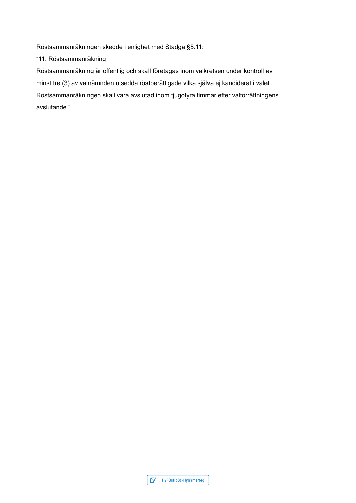Röstsammanräkningen skedde i enlighet med Stadga §5.11:

"11. Röstsammanräkning

Röstsammanräkning är offentlig och skall företagas inom valkretsen under kontroll av minst tre (3) av valnämnden utsedda röstberättigade vilka själva ej kandiderat i valet. Röstsammanräkningen skall vara avslutad inom tjugofyra timmar efter valförrättningens avslutande."